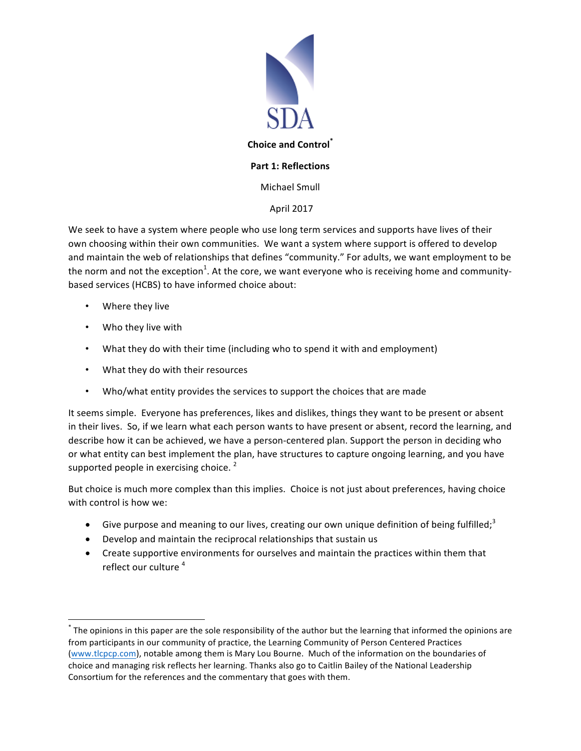

# **Part 1: Reflections**

Michael Smull

# April 2017

We seek to have a system where people who use long term services and supports have lives of their own choosing within their own communities. We want a system where support is offered to develop and maintain the web of relationships that defines "community." For adults, we want employment to be the norm and not the exception $^1$ . At the core, we want everyone who is receiving home and communitybased services (HCBS) to have informed choice about:

- Where they live
- Who they live with

<u> 1989 - Johann Barn, mars ann an t-Amhain an t-Amhain an t-Amhain an t-Amhain an t-Amhain an t-Amhain an t-Amh</u>

- What they do with their time (including who to spend it with and employment)
- What they do with their resources
- Who/what entity provides the services to support the choices that are made

It seems simple. Everyone has preferences, likes and dislikes, things they want to be present or absent in their lives. So, if we learn what each person wants to have present or absent, record the learning, and describe how it can be achieved, we have a person-centered plan. Support the person in deciding who or what entity can best implement the plan, have structures to capture ongoing learning, and you have supported people in exercising choice.  $^2$ 

But choice is much more complex than this implies. Choice is not just about preferences, having choice with control is how we:

- Give purpose and meaning to our lives, creating our own unique definition of being fulfilled;<sup>3</sup>
- Develop and maintain the reciprocal relationships that sustain us
- Create supportive environments for ourselves and maintain the practices within them that reflect our culture  $4$

 $^*$  The opinions in this paper are the sole responsibility of the author but the learning that informed the opinions are from participants in our community of practice, the Learning Community of Person Centered Practices (www.tlcpcp.com), notable among them is Mary Lou Bourne. Much of the information on the boundaries of choice and managing risk reflects her learning. Thanks also go to Caitlin Bailey of the National Leadership Consortium for the references and the commentary that goes with them.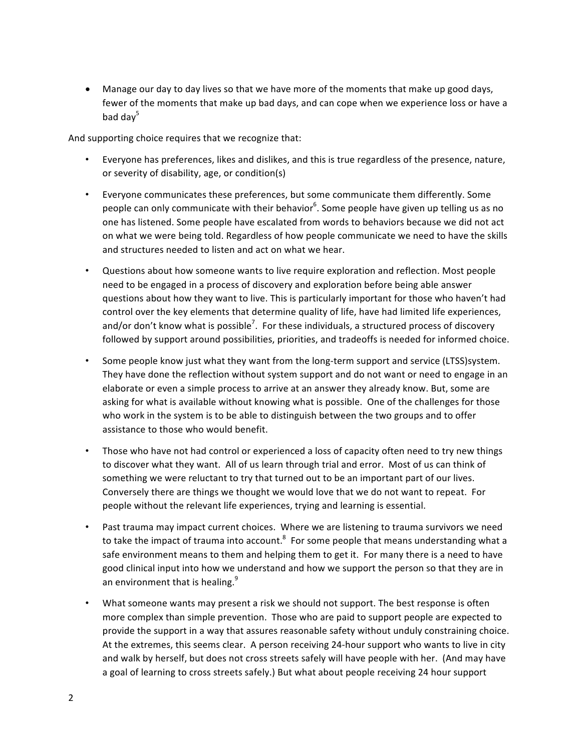• Manage our day to day lives so that we have more of the moments that make up good days, fewer of the moments that make up bad days, and can cope when we experience loss or have a bad dav<sup>5</sup>

And supporting choice requires that we recognize that:

- Everyone has preferences, likes and dislikes, and this is true regardless of the presence, nature, or severity of disability, age, or condition(s)
- Everyone communicates these preferences, but some communicate them differently. Some people can only communicate with their behavior $^6$ . Some people have given up telling us as no one has listened. Some people have escalated from words to behaviors because we did not act on what we were being told. Regardless of how people communicate we need to have the skills and structures needed to listen and act on what we hear.
- Questions about how someone wants to live require exploration and reflection. Most people need to be engaged in a process of discovery and exploration before being able answer questions about how they want to live. This is particularly important for those who haven't had control over the key elements that determine quality of life, have had limited life experiences, and/or don't know what is possible<sup>7</sup>. For these individuals, a structured process of discovery followed by support around possibilities, priorities, and tradeoffs is needed for informed choice.
- Some people know just what they want from the long-term support and service (LTSS)system. They have done the reflection without system support and do not want or need to engage in an elaborate or even a simple process to arrive at an answer they already know. But, some are asking for what is available without knowing what is possible. One of the challenges for those who work in the system is to be able to distinguish between the two groups and to offer assistance to those who would benefit.
- Those who have not had control or experienced a loss of capacity often need to try new things to discover what they want. All of us learn through trial and error. Most of us can think of something we were reluctant to try that turned out to be an important part of our lives. Conversely there are things we thought we would love that we do not want to repeat. For people without the relevant life experiences, trying and learning is essential.
- Past trauma may impact current choices. Where we are listening to trauma survivors we need to take the impact of trauma into account.<sup>8</sup> For some people that means understanding what a safe environment means to them and helping them to get it. For many there is a need to have good clinical input into how we understand and how we support the person so that they are in an environment that is healing.<sup>9</sup>
- What someone wants may present a risk we should not support. The best response is often more complex than simple prevention. Those who are paid to support people are expected to provide the support in a way that assures reasonable safety without unduly constraining choice. At the extremes, this seems clear. A person receiving 24-hour support who wants to live in city and walk by herself, but does not cross streets safely will have people with her. (And may have a goal of learning to cross streets safely.) But what about people receiving 24 hour support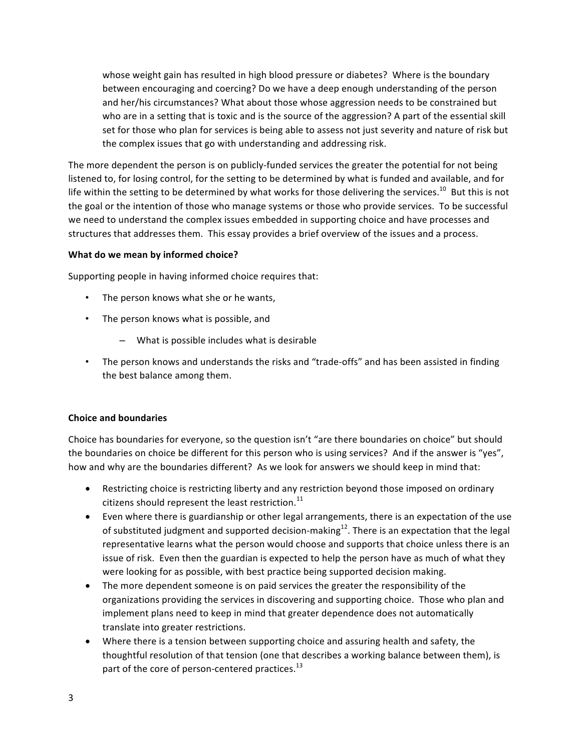whose weight gain has resulted in high blood pressure or diabetes? Where is the boundary between encouraging and coercing? Do we have a deep enough understanding of the person and her/his circumstances? What about those whose aggression needs to be constrained but who are in a setting that is toxic and is the source of the aggression? A part of the essential skill set for those who plan for services is being able to assess not just severity and nature of risk but the complex issues that go with understanding and addressing risk.

The more dependent the person is on publicly-funded services the greater the potential for not being listened to, for losing control, for the setting to be determined by what is funded and available, and for life within the setting to be determined by what works for those delivering the services.<sup>10</sup> But this is not the goal or the intention of those who manage systems or those who provide services. To be successful we need to understand the complex issues embedded in supporting choice and have processes and structures that addresses them. This essay provides a brief overview of the issues and a process.

### **What do we mean by informed choice?**

Supporting people in having informed choice requires that:

- The person knows what she or he wants,
- The person knows what is possible, and
	- $-$  What is possible includes what is desirable
- The person knows and understands the risks and "trade-offs" and has been assisted in finding the best balance among them.

### **Choice and boundaries**

Choice has boundaries for everyone, so the question isn't "are there boundaries on choice" but should the boundaries on choice be different for this person who is using services? And if the answer is "yes", how and why are the boundaries different? As we look for answers we should keep in mind that:

- Restricting choice is restricting liberty and any restriction beyond those imposed on ordinary citizens should represent the least restriction.<sup>11</sup>
- Even where there is guardianship or other legal arrangements, there is an expectation of the use of substituted judgment and supported decision-making<sup>12</sup>. There is an expectation that the legal representative learns what the person would choose and supports that choice unless there is an issue of risk. Even then the guardian is expected to help the person have as much of what they were looking for as possible, with best practice being supported decision making.
- The more dependent someone is on paid services the greater the responsibility of the organizations providing the services in discovering and supporting choice. Those who plan and implement plans need to keep in mind that greater dependence does not automatically translate into greater restrictions.
- Where there is a tension between supporting choice and assuring health and safety, the thoughtful resolution of that tension (one that describes a working balance between them), is part of the core of person-centered practices. $^{13}$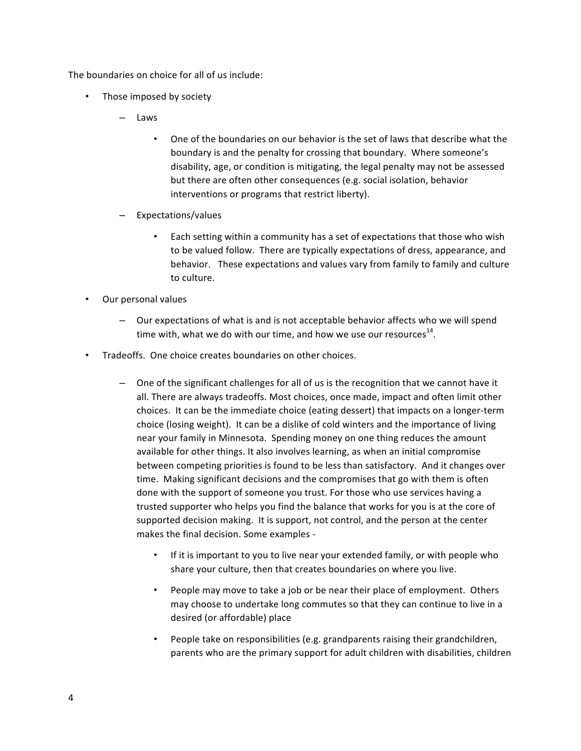The boundaries on choice for all of us include:

- Those imposed by society
	- Laws
		- One of the boundaries on our behavior is the set of laws that describe what the boundary is and the penalty for crossing that boundary. Where someone's disability, age, or condition is mitigating, the legal penalty may not be assessed but there are often other consequences (e.g. social isolation, behavior interventions or programs that restrict liberty).
	- Expectations/values
		- Each setting within a community has a set of expectations that those who wish to be valued follow. There are typically expectations of dress, appearance, and behavior. These expectations and values vary from family to family and culture to culture.
- Our personal values
	- $-$  Our expectations of what is and is not acceptable behavior affects who we will spend time with, what we do with our time, and how we use our resources<sup>14</sup>.
- Tradeoffs. One choice creates boundaries on other choices.
	- $-$  One of the significant challenges for all of us is the recognition that we cannot have it all. There are always tradeoffs. Most choices, once made, impact and often limit other choices. It can be the immediate choice (eating dessert) that impacts on a longer-term choice (losing weight). It can be a dislike of cold winters and the importance of living near your family in Minnesota. Spending money on one thing reduces the amount available for other things. It also involves learning, as when an initial compromise between competing priorities is found to be less than satisfactory. And it changes over time. Making significant decisions and the compromises that go with them is often done with the support of someone you trust. For those who use services having a trusted supporter who helps you find the balance that works for you is at the core of supported decision making. It is support, not control, and the person at the center makes the final decision. Some examples -
		- If it is important to you to live near your extended family, or with people who share your culture, then that creates boundaries on where you live.
		- People may move to take a job or be near their place of employment. Others may choose to undertake long commutes so that they can continue to live in a desired (or affordable) place
		- People take on responsibilities (e.g. grandparents raising their grandchildren, parents who are the primary support for adult children with disabilities, children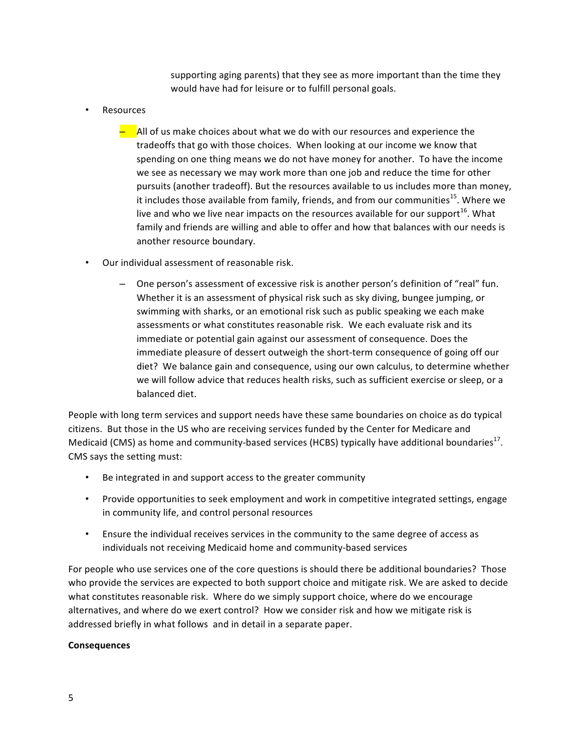supporting aging parents) that they see as more important than the time they would have had for leisure or to fulfill personal goals.

**Resources** 

 $-$  All of us make choices about what we do with our resources and experience the tradeoffs that go with those choices. When looking at our income we know that spending on one thing means we do not have money for another. To have the income we see as necessary we may work more than one job and reduce the time for other pursuits (another tradeoff). But the resources available to us includes more than money, it includes those available from family, friends, and from our communities<sup>15</sup>. Where we live and who we live near impacts on the resources available for our support<sup>16</sup>. What family and friends are willing and able to offer and how that balances with our needs is another resource boundary.

- Our individual assessment of reasonable risk.
	- One person's assessment of excessive risk is another person's definition of "real" fun. Whether it is an assessment of physical risk such as sky diving, bungee jumping, or swimming with sharks, or an emotional risk such as public speaking we each make assessments or what constitutes reasonable risk. We each evaluate risk and its immediate or potential gain against our assessment of consequence. Does the immediate pleasure of dessert outweigh the short-term consequence of going off our diet? We balance gain and consequence, using our own calculus, to determine whether we will follow advice that reduces health risks, such as sufficient exercise or sleep, or a balanced diet.

People with long term services and support needs have these same boundaries on choice as do typical citizens. But those in the US who are receiving services funded by the Center for Medicare and Medicaid (CMS) as home and community-based services (HCBS) typically have additional boundaries<sup>17</sup>. CMS says the setting must:

- Be integrated in and support access to the greater community
- Provide opportunities to seek employment and work in competitive integrated settings, engage in community life, and control personal resources
- Ensure the individual receives services in the community to the same degree of access as individuals not receiving Medicaid home and community-based services

For people who use services one of the core questions is should there be additional boundaries? Those who provide the services are expected to both support choice and mitigate risk. We are asked to decide what constitutes reasonable risk. Where do we simply support choice, where do we encourage alternatives, and where do we exert control? How we consider risk and how we mitigate risk is addressed briefly in what follows and in detail in a separate paper.

#### **Consequences**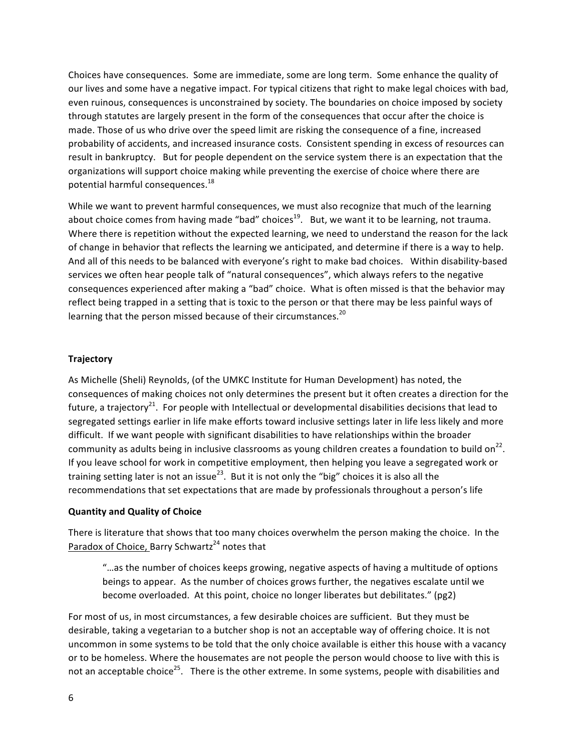Choices have consequences. Some are immediate, some are long term. Some enhance the quality of our lives and some have a negative impact. For typical citizens that right to make legal choices with bad, even ruinous, consequences is unconstrained by society. The boundaries on choice imposed by society through statutes are largely present in the form of the consequences that occur after the choice is made. Those of us who drive over the speed limit are risking the consequence of a fine, increased probability of accidents, and increased insurance costs. Consistent spending in excess of resources can result in bankruptcy. But for people dependent on the service system there is an expectation that the organizations will support choice making while preventing the exercise of choice where there are potential harmful consequences. $^{18}$ 

While we want to prevent harmful consequences, we must also recognize that much of the learning about choice comes from having made "bad" choices<sup>19</sup>. But, we want it to be learning, not trauma. Where there is repetition without the expected learning, we need to understand the reason for the lack of change in behavior that reflects the learning we anticipated, and determine if there is a way to help. And all of this needs to be balanced with everyone's right to make bad choices. Within disability-based services we often hear people talk of "natural consequences", which always refers to the negative consequences experienced after making a "bad" choice. What is often missed is that the behavior may reflect being trapped in a setting that is toxic to the person or that there may be less painful ways of learning that the person missed because of their circumstances.<sup>20</sup>

### **Trajectory**

As Michelle (Sheli) Reynolds, (of the UMKC Institute for Human Development) has noted, the consequences of making choices not only determines the present but it often creates a direction for the future, a trajectory<sup>21</sup>. For people with Intellectual or developmental disabilities decisions that lead to segregated settings earlier in life make efforts toward inclusive settings later in life less likely and more difficult. If we want people with significant disabilities to have relationships within the broader community as adults being in inclusive classrooms as young children creates a foundation to build on<sup>22</sup>. If you leave school for work in competitive employment, then helping you leave a segregated work or training setting later is not an issue<sup>23</sup>. But it is not only the "big" choices it is also all the recommendations that set expectations that are made by professionals throughout a person's life

### **Quantity and Quality of Choice**

There is literature that shows that too many choices overwhelm the person making the choice. In the Paradox of Choice, Barry Schwartz<sup>24</sup> notes that

"...as the number of choices keeps growing, negative aspects of having a multitude of options beings to appear. As the number of choices grows further, the negatives escalate until we become overloaded. At this point, choice no longer liberates but debilitates." (pg2)

For most of us, in most circumstances, a few desirable choices are sufficient. But they must be desirable, taking a vegetarian to a butcher shop is not an acceptable way of offering choice. It is not uncommon in some systems to be told that the only choice available is either this house with a vacancy or to be homeless. Where the housemates are not people the person would choose to live with this is not an acceptable choice<sup>25</sup>. There is the other extreme. In some systems, people with disabilities and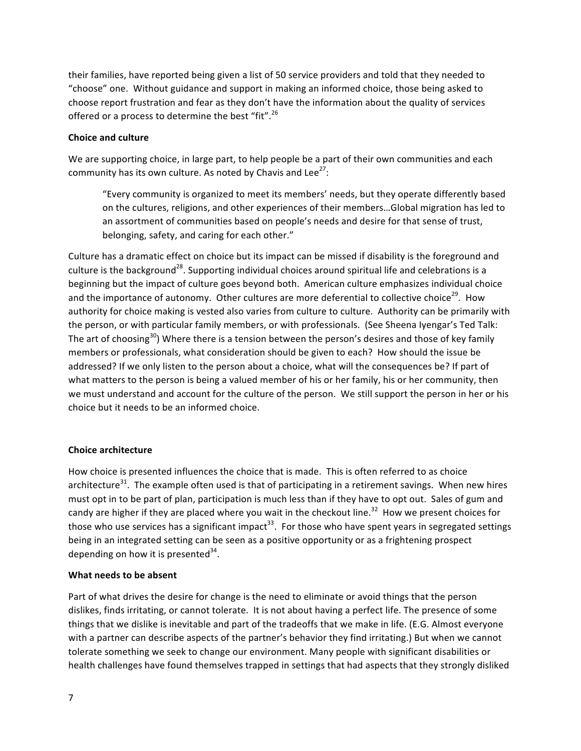their families, have reported being given a list of 50 service providers and told that they needed to "choose" one. Without guidance and support in making an informed choice, those being asked to choose report frustration and fear as they don't have the information about the quality of services offered or a process to determine the best "fit".<sup>26</sup>

# **Choice and culture**

We are supporting choice, in large part, to help people be a part of their own communities and each community has its own culture. As noted by Chavis and Lee<sup>27</sup>:

"Every community is organized to meet its members' needs, but they operate differently based on the cultures, religions, and other experiences of their members...Global migration has led to an assortment of communities based on people's needs and desire for that sense of trust, belonging, safety, and caring for each other."

Culture has a dramatic effect on choice but its impact can be missed if disability is the foreground and culture is the background<sup>28</sup>. Supporting individual choices around spiritual life and celebrations is a beginning but the impact of culture goes beyond both. American culture emphasizes individual choice and the importance of autonomy. Other cultures are more deferential to collective choice<sup>29</sup>. How authority for choice making is vested also varies from culture to culture. Authority can be primarily with the person, or with particular family members, or with professionals. (See Sheena Iyengar's Ted Talk: The art of choosing<sup>30</sup>) Where there is a tension between the person's desires and those of key family members or professionals, what consideration should be given to each? How should the issue be addressed? If we only listen to the person about a choice, what will the consequences be? If part of what matters to the person is being a valued member of his or her family, his or her community, then we must understand and account for the culture of the person. We still support the person in her or his choice but it needs to be an informed choice.

### **Choice architecture**

How choice is presented influences the choice that is made. This is often referred to as choice architecture<sup>31</sup>. The example often used is that of participating in a retirement savings. When new hires must opt in to be part of plan, participation is much less than if they have to opt out. Sales of gum and candy are higher if they are placed where you wait in the checkout line.<sup>32</sup> How we present choices for those who use services has a significant impact<sup>33</sup>. For those who have spent years in segregated settings being in an integrated setting can be seen as a positive opportunity or as a frightening prospect depending on how it is presented  $34$ .

### **What needs to be absent**

Part of what drives the desire for change is the need to eliminate or avoid things that the person dislikes, finds irritating, or cannot tolerate. It is not about having a perfect life. The presence of some things that we dislike is inevitable and part of the tradeoffs that we make in life. (E.G. Almost everyone with a partner can describe aspects of the partner's behavior they find irritating.) But when we cannot tolerate something we seek to change our environment. Many people with significant disabilities or health challenges have found themselves trapped in settings that had aspects that they strongly disliked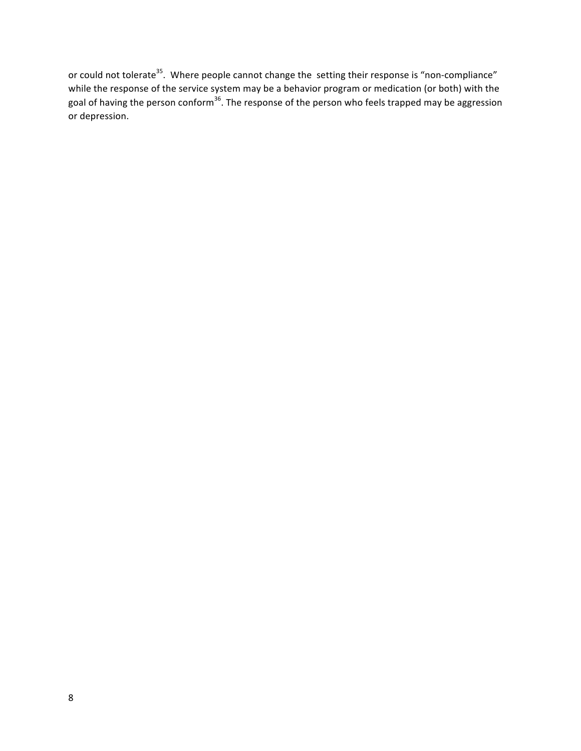or could not tolerate<sup>35</sup>. Where people cannot change the setting their response is "non-compliance" while the response of the service system may be a behavior program or medication (or both) with the goal of having the person conform<sup>36</sup>. The response of the person who feels trapped may be aggression or depression.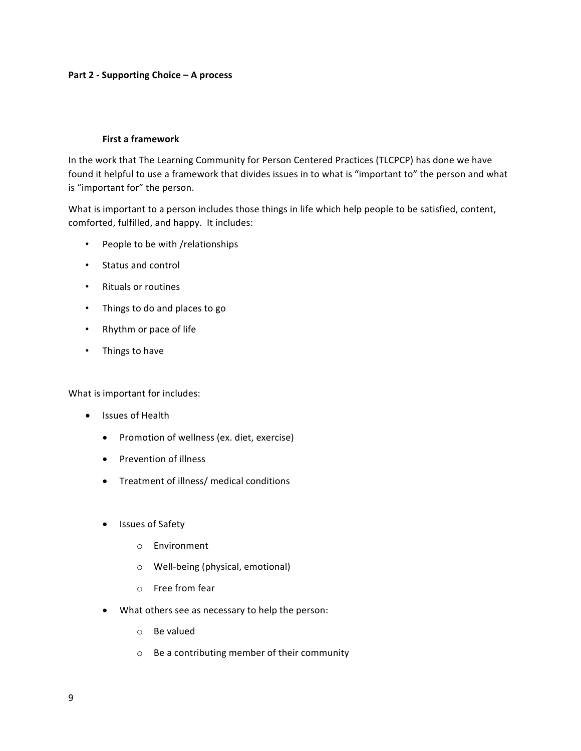### **Part 2 - Supporting Choice – A process**

### **First a framework**

In the work that The Learning Community for Person Centered Practices (TLCPCP) has done we have found it helpful to use a framework that divides issues in to what is "important to" the person and what is "important for" the person.

What is important to a person includes those things in life which help people to be satisfied, content, comforted, fulfilled, and happy. It includes:

- People to be with /relationships
- Status and control
- Rituals or routines
- Things to do and places to go
- Rhythm or pace of life
- Things to have

What is important for includes:

- Issues of Health
	- Promotion of wellness (ex. diet, exercise)
	- Prevention of illness
	- Treatment of illness/ medical conditions
	- Issues of Safety
		- o Environment
		- $\circ$  Well-being (physical, emotional)
		- o Free from fear
	- What others see as necessary to help the person:
		- $\circ$  Be valued
		- $\circ$  Be a contributing member of their community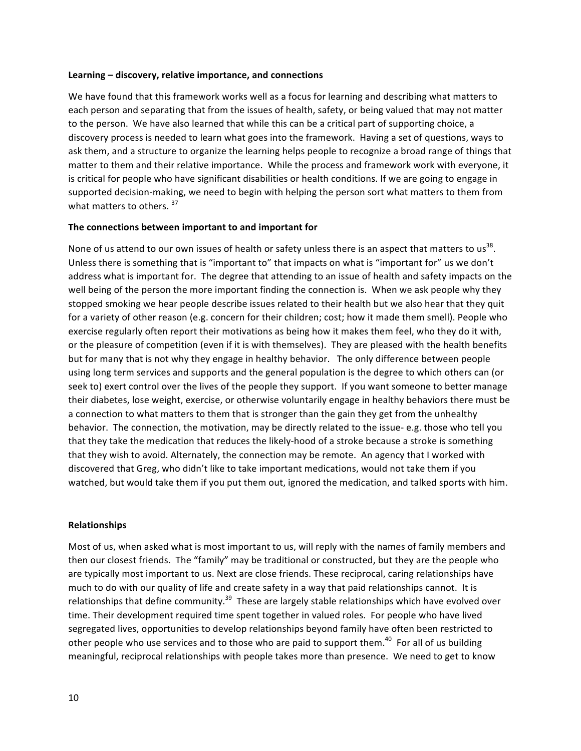#### Learning – discovery, relative importance, and connections

We have found that this framework works well as a focus for learning and describing what matters to each person and separating that from the issues of health, safety, or being valued that may not matter to the person. We have also learned that while this can be a critical part of supporting choice, a discovery process is needed to learn what goes into the framework. Having a set of questions, ways to ask them, and a structure to organize the learning helps people to recognize a broad range of things that matter to them and their relative importance. While the process and framework work with everyone, it is critical for people who have significant disabilities or health conditions. If we are going to engage in supported decision-making, we need to begin with helping the person sort what matters to them from what matters to others.  $37$ 

### The connections between important to and important for

None of us attend to our own issues of health or safety unless there is an aspect that matters to us<sup>38</sup>. Unless there is something that is "important to" that impacts on what is "important for" us we don't address what is important for. The degree that attending to an issue of health and safety impacts on the well being of the person the more important finding the connection is. When we ask people why they stopped smoking we hear people describe issues related to their health but we also hear that they quit for a variety of other reason (e.g. concern for their children; cost; how it made them smell). People who exercise regularly often report their motivations as being how it makes them feel, who they do it with, or the pleasure of competition (even if it is with themselves). They are pleased with the health benefits but for many that is not why they engage in healthy behavior. The only difference between people using long term services and supports and the general population is the degree to which others can (or seek to) exert control over the lives of the people they support. If you want someone to better manage their diabetes, lose weight, exercise, or otherwise voluntarily engage in healthy behaviors there must be a connection to what matters to them that is stronger than the gain they get from the unhealthy behavior. The connection, the motivation, may be directly related to the issue- e.g. those who tell you that they take the medication that reduces the likely-hood of a stroke because a stroke is something that they wish to avoid. Alternately, the connection may be remote. An agency that I worked with discovered that Greg, who didn't like to take important medications, would not take them if you watched, but would take them if you put them out, ignored the medication, and talked sports with him.

#### **Relationships**

Most of us, when asked what is most important to us, will reply with the names of family members and then our closest friends. The "family" may be traditional or constructed, but they are the people who are typically most important to us. Next are close friends. These reciprocal, caring relationships have much to do with our quality of life and create safety in a way that paid relationships cannot. It is relationships that define community.<sup>39</sup> These are largely stable relationships which have evolved over time. Their development required time spent together in valued roles. For people who have lived segregated lives, opportunities to develop relationships beyond family have often been restricted to other people who use services and to those who are paid to support them.<sup>40</sup> For all of us building meaningful, reciprocal relationships with people takes more than presence. We need to get to know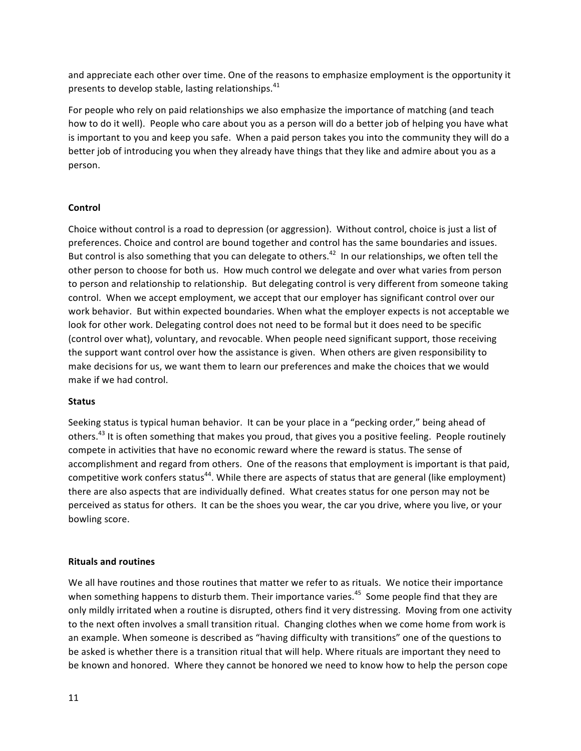and appreciate each other over time. One of the reasons to emphasize employment is the opportunity it presents to develop stable, lasting relationships. $^{41}$ 

For people who rely on paid relationships we also emphasize the importance of matching (and teach how to do it well). People who care about you as a person will do a better job of helping you have what is important to you and keep you safe. When a paid person takes you into the community they will do a better job of introducing you when they already have things that they like and admire about you as a person. 

# **Control**

Choice without control is a road to depression (or aggression). Without control, choice is just a list of preferences. Choice and control are bound together and control has the same boundaries and issues. But control is also something that you can delegate to others.<sup>42</sup> In our relationships, we often tell the other person to choose for both us. How much control we delegate and over what varies from person to person and relationship to relationship. But delegating control is very different from someone taking control. When we accept employment, we accept that our employer has significant control over our work behavior. But within expected boundaries. When what the employer expects is not acceptable we look for other work. Delegating control does not need to be formal but it does need to be specific (control over what), voluntary, and revocable. When people need significant support, those receiving the support want control over how the assistance is given. When others are given responsibility to make decisions for us, we want them to learn our preferences and make the choices that we would make if we had control.

### **Status**

Seeking status is typical human behavior. It can be your place in a "pecking order," being ahead of others.<sup>43</sup> It is often something that makes you proud, that gives you a positive feeling. People routinely compete in activities that have no economic reward where the reward is status. The sense of accomplishment and regard from others. One of the reasons that employment is important is that paid, competitive work confers status<sup>44</sup>. While there are aspects of status that are general (like employment) there are also aspects that are individually defined. What creates status for one person may not be perceived as status for others. It can be the shoes you wear, the car you drive, where you live, or your bowling score.

### **Rituals and routines**

We all have routines and those routines that matter we refer to as rituals. We notice their importance when something happens to disturb them. Their importance varies.<sup>45</sup> Some people find that they are only mildly irritated when a routine is disrupted, others find it very distressing. Moving from one activity to the next often involves a small transition ritual. Changing clothes when we come home from work is an example. When someone is described as "having difficulty with transitions" one of the questions to be asked is whether there is a transition ritual that will help. Where rituals are important they need to be known and honored. Where they cannot be honored we need to know how to help the person cope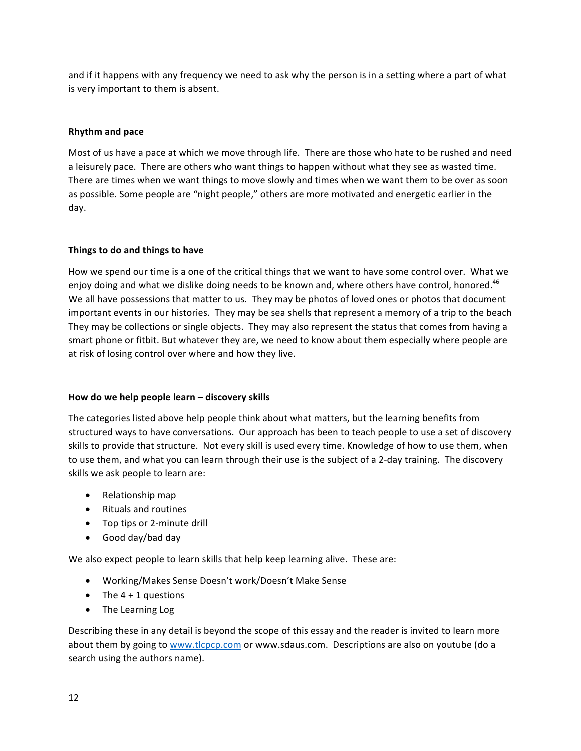and if it happens with any frequency we need to ask why the person is in a setting where a part of what is very important to them is absent.

# **Rhythm and pace**

Most of us have a pace at which we move through life. There are those who hate to be rushed and need a leisurely pace. There are others who want things to happen without what they see as wasted time. There are times when we want things to move slowly and times when we want them to be over as soon as possible. Some people are "night people," others are more motivated and energetic earlier in the day. 

# **Things to do and things to have**

How we spend our time is a one of the critical things that we want to have some control over. What we enjoy doing and what we dislike doing needs to be known and, where others have control, honored.<sup>46</sup> We all have possessions that matter to us. They may be photos of loved ones or photos that document important events in our histories. They may be sea shells that represent a memory of a trip to the beach They may be collections or single objects. They may also represent the status that comes from having a smart phone or fitbit. But whatever they are, we need to know about them especially where people are at risk of losing control over where and how they live.

# How do we help people learn – discovery skills

The categories listed above help people think about what matters, but the learning benefits from structured ways to have conversations. Our approach has been to teach people to use a set of discovery skills to provide that structure. Not every skill is used every time. Knowledge of how to use them, when to use them, and what you can learn through their use is the subject of a 2-day training. The discovery skills we ask people to learn are:

- Relationship map
- Rituals and routines
- Top tips or 2-minute drill
- Good day/bad day

We also expect people to learn skills that help keep learning alive. These are:

- Working/Makes Sense Doesn't work/Doesn't Make Sense
- The  $4 + 1$  questions
- The Learning Log

Describing these in any detail is beyond the scope of this essay and the reader is invited to learn more about them by going to www.tlcpcp.com or www.sdaus.com. Descriptions are also on youtube (do a search using the authors name).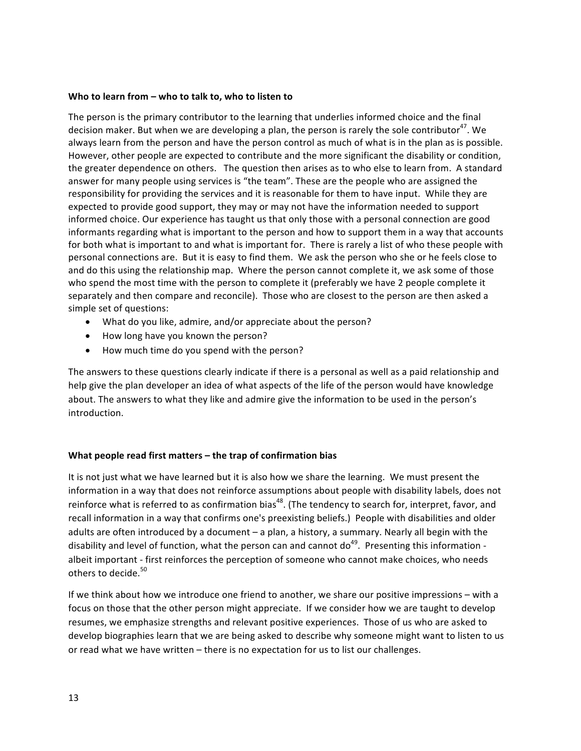### Who to learn from – who to talk to, who to listen to

The person is the primary contributor to the learning that underlies informed choice and the final decision maker. But when we are developing a plan, the person is rarely the sole contributor<sup>47</sup>. We always learn from the person and have the person control as much of what is in the plan as is possible. However, other people are expected to contribute and the more significant the disability or condition, the greater dependence on others. The question then arises as to who else to learn from. A standard answer for many people using services is "the team". These are the people who are assigned the responsibility for providing the services and it is reasonable for them to have input. While they are expected to provide good support, they may or may not have the information needed to support informed choice. Our experience has taught us that only those with a personal connection are good informants regarding what is important to the person and how to support them in a way that accounts for both what is important to and what is important for. There is rarely a list of who these people with personal connections are. But it is easy to find them. We ask the person who she or he feels close to and do this using the relationship map. Where the person cannot complete it, we ask some of those who spend the most time with the person to complete it (preferably we have 2 people complete it separately and then compare and reconcile). Those who are closest to the person are then asked a simple set of questions:

- What do you like, admire, and/or appreciate about the person?
- How long have you known the person?
- How much time do you spend with the person?

The answers to these questions clearly indicate if there is a personal as well as a paid relationship and help give the plan developer an idea of what aspects of the life of the person would have knowledge about. The answers to what they like and admire give the information to be used in the person's introduction. 

# **What people read first matters – the trap of confirmation bias**

It is not just what we have learned but it is also how we share the learning. We must present the information in a way that does not reinforce assumptions about people with disability labels, does not reinforce what is referred to as confirmation bias<sup>48</sup>. (The tendency to search for, interpret, favor, and recall information in a way that confirms one's preexisting beliefs.) People with disabilities and older adults are often introduced by a document  $-$  a plan, a history, a summary. Nearly all begin with the disability and level of function, what the person can and cannot do<sup>49</sup>. Presenting this information albeit important - first reinforces the perception of someone who cannot make choices, who needs others to decide.<sup>50</sup>

If we think about how we introduce one friend to another, we share our positive impressions – with a focus on those that the other person might appreciate. If we consider how we are taught to develop resumes, we emphasize strengths and relevant positive experiences. Those of us who are asked to develop biographies learn that we are being asked to describe why someone might want to listen to us or read what we have written – there is no expectation for us to list our challenges.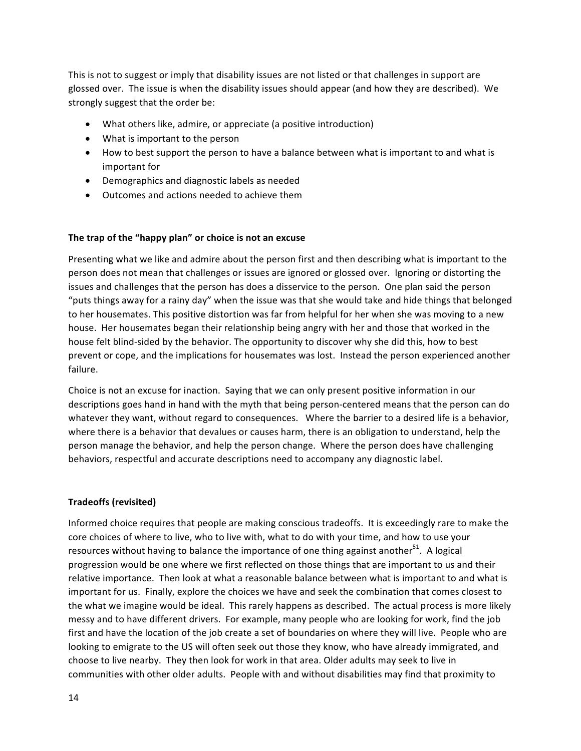This is not to suggest or imply that disability issues are not listed or that challenges in support are glossed over. The issue is when the disability issues should appear (and how they are described). We strongly suggest that the order be:

- What others like, admire, or appreciate (a positive introduction)
- $\bullet$  What is important to the person
- How to best support the person to have a balance between what is important to and what is important for
- Demographics and diagnostic labels as needed
- Outcomes and actions needed to achieve them

### The trap of the "happy plan" or choice is not an excuse

Presenting what we like and admire about the person first and then describing what is important to the person does not mean that challenges or issues are ignored or glossed over. Ignoring or distorting the issues and challenges that the person has does a disservice to the person. One plan said the person "puts things away for a rainy day" when the issue was that she would take and hide things that belonged to her housemates. This positive distortion was far from helpful for her when she was moving to a new house. Her housemates began their relationship being angry with her and those that worked in the house felt blind-sided by the behavior. The opportunity to discover why she did this, how to best prevent or cope, and the implications for housemates was lost. Instead the person experienced another failure. 

Choice is not an excuse for inaction. Saying that we can only present positive information in our descriptions goes hand in hand with the myth that being person-centered means that the person can do whatever they want, without regard to consequences. Where the barrier to a desired life is a behavior, where there is a behavior that devalues or causes harm, there is an obligation to understand, help the person manage the behavior, and help the person change. Where the person does have challenging behaviors, respectful and accurate descriptions need to accompany any diagnostic label.

### **Tradeoffs (revisited)**

Informed choice requires that people are making conscious tradeoffs. It is exceedingly rare to make the core choices of where to live, who to live with, what to do with your time, and how to use your resources without having to balance the importance of one thing against another  $51$ . A logical progression would be one where we first reflected on those things that are important to us and their relative importance. Then look at what a reasonable balance between what is important to and what is important for us. Finally, explore the choices we have and seek the combination that comes closest to the what we imagine would be ideal. This rarely happens as described. The actual process is more likely messy and to have different drivers. For example, many people who are looking for work, find the job first and have the location of the job create a set of boundaries on where they will live. People who are looking to emigrate to the US will often seek out those they know, who have already immigrated, and choose to live nearby. They then look for work in that area. Older adults may seek to live in communities with other older adults. People with and without disabilities may find that proximity to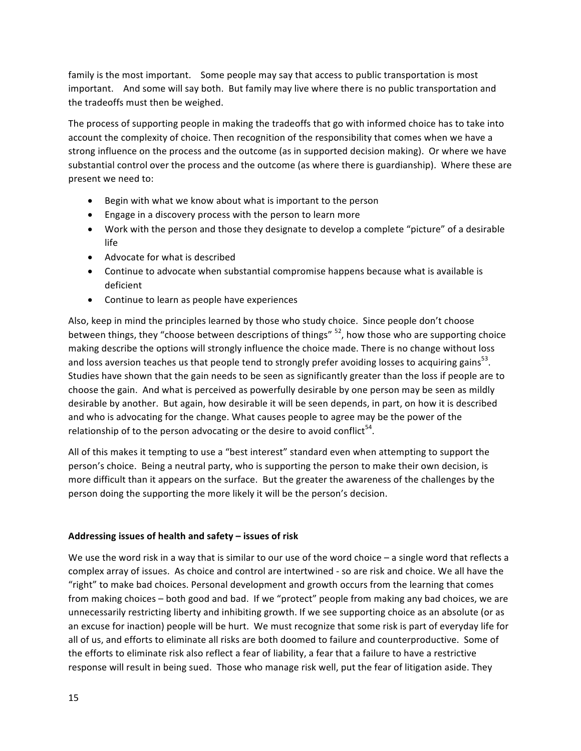family is the most important. Some people may say that access to public transportation is most important. And some will say both. But family may live where there is no public transportation and the tradeoffs must then be weighed.

The process of supporting people in making the tradeoffs that go with informed choice has to take into account the complexity of choice. Then recognition of the responsibility that comes when we have a strong influence on the process and the outcome (as in supported decision making). Or where we have substantial control over the process and the outcome (as where there is guardianship). Where these are present we need to:

- Begin with what we know about what is important to the person
- Engage in a discovery process with the person to learn more
- Work with the person and those they designate to develop a complete "picture" of a desirable life
- $\bullet$  Advocate for what is described
- Continue to advocate when substantial compromise happens because what is available is deficient
- Continue to learn as people have experiences

Also, keep in mind the principles learned by those who study choice. Since people don't choose between things, they "choose between descriptions of things"  $52$ , how those who are supporting choice making describe the options will strongly influence the choice made. There is no change without loss and loss aversion teaches us that people tend to strongly prefer avoiding losses to acquiring gains<sup>53</sup>. Studies have shown that the gain needs to be seen as significantly greater than the loss if people are to choose the gain. And what is perceived as powerfully desirable by one person may be seen as mildly desirable by another. But again, how desirable it will be seen depends, in part, on how it is described and who is advocating for the change. What causes people to agree may be the power of the relationship of to the person advocating or the desire to avoid conflict<sup>54</sup>.

All of this makes it tempting to use a "best interest" standard even when attempting to support the person's choice. Being a neutral party, who is supporting the person to make their own decision, is more difficult than it appears on the surface. But the greater the awareness of the challenges by the person doing the supporting the more likely it will be the person's decision.

# Addressing issues of health and safety – issues of risk

We use the word risk in a way that is similar to our use of the word choice  $-$  a single word that reflects a complex array of issues. As choice and control are intertwined - so are risk and choice. We all have the "right" to make bad choices. Personal development and growth occurs from the learning that comes from making choices – both good and bad. If we "protect" people from making any bad choices, we are unnecessarily restricting liberty and inhibiting growth. If we see supporting choice as an absolute (or as an excuse for inaction) people will be hurt. We must recognize that some risk is part of everyday life for all of us, and efforts to eliminate all risks are both doomed to failure and counterproductive. Some of the efforts to eliminate risk also reflect a fear of liability, a fear that a failure to have a restrictive response will result in being sued. Those who manage risk well, put the fear of litigation aside. They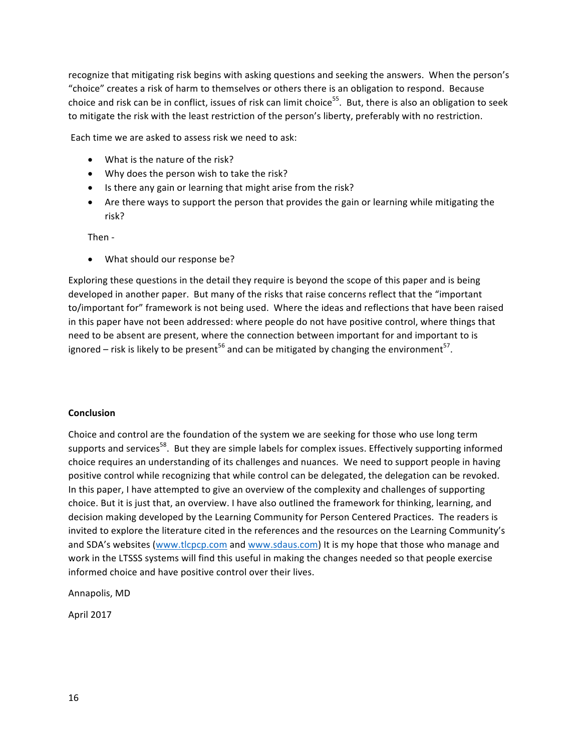recognize that mitigating risk begins with asking questions and seeking the answers. When the person's "choice" creates a risk of harm to themselves or others there is an obligation to respond. Because choice and risk can be in conflict, issues of risk can limit choice<sup>55</sup>. But, there is also an obligation to seek to mitigate the risk with the least restriction of the person's liberty, preferably with no restriction.

Each time we are asked to assess risk we need to ask:

- What is the nature of the risk?
- Why does the person wish to take the risk?
- Is there any gain or learning that might arise from the risk?
- Are there ways to support the person that provides the gain or learning while mitigating the risk?

Then -

• What should our response be?

Exploring these questions in the detail they require is beyond the scope of this paper and is being developed in another paper. But many of the risks that raise concerns reflect that the "important to/important for" framework is not being used. Where the ideas and reflections that have been raised in this paper have not been addressed: where people do not have positive control, where things that need to be absent are present, where the connection between important for and important to is ignored – risk is likely to be present<sup>56</sup> and can be mitigated by changing the environment<sup>57</sup>.

# **Conclusion**

Choice and control are the foundation of the system we are seeking for those who use long term supports and services<sup>58</sup>. But they are simple labels for complex issues. Effectively supporting informed choice requires an understanding of its challenges and nuances. We need to support people in having positive control while recognizing that while control can be delegated, the delegation can be revoked. In this paper, I have attempted to give an overview of the complexity and challenges of supporting choice. But it is just that, an overview. I have also outlined the framework for thinking, learning, and decision making developed by the Learning Community for Person Centered Practices. The readers is invited to explore the literature cited in the references and the resources on the Learning Community's and SDA's websites (www.tlcpcp.com and www.sdaus.com) It is my hope that those who manage and work in the LTSSS systems will find this useful in making the changes needed so that people exercise informed choice and have positive control over their lives.

Annapolis, MD

April 2017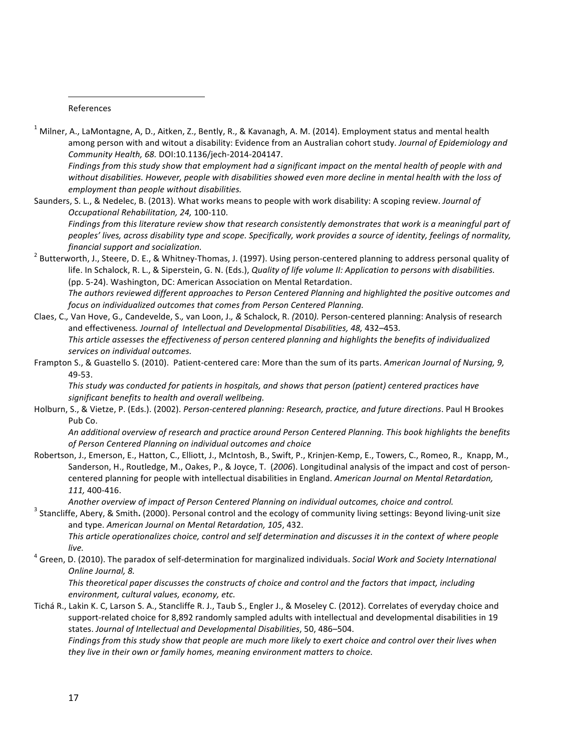#### References

<u> 1989 - Johann Barn, mars ann an t-Amhain an t-Amhain an t-Amhain an t-Amhain an t-Amhain an t-Amhain an t-Amh</u>

 $1$  Milner, A., LaMontagne, A, D., Aitken, Z., Bently, R., & Kavanagh, A. M. (2014). Employment status and mental health among person with and witout a disability: Evidence from an Australian cohort study. *Journal of Epidemiology and Community Health, 68.* DOI:10.1136/jech-2014-204147. 

Findings from this study show that employment had a significant impact on the mental health of people with and without disabilities. However, people with disabilities showed even more decline in mental health with the loss of *employment than people without disabilities.* 

Saunders, S. L., & Nedelec, B. (2013). What works means to people with work disability: A scoping review. *Journal of Occupational Rehabilitation, 24,* 100-110. Findings from this literature review show that research consistently demonstrates that work is a meaningful part of

peoples' lives, across disability type and scope. Specifically, work provides a source of identity, feelings of normality,

- *financial support and socialization.*<br><sup>2</sup> Butterworth, J., Steere, D. E., & Whitney-Thomas, J. (1997). Using person-centered planning to address personal quality of life. In Schalock, R. L., & Siperstein, G. N. (Eds.), *Quality of life volume II: Application to persons with disabilities.* (pp. 5-24). Washington, DC: American Association on Mental Retardation. The authors reviewed different approaches to Person Centered Planning and highlighted the positive outcomes and *focus* on individualized outcomes that comes from Person Centered Planning.
- Claes, C.*,* Van Hove, G.*,* Candevelde, S.*,* van Loon, J.*, &* Schalock, R. *(*2010*).* Person-centered planning: Analysis of research and effectiveness. Journal of Intellectual and Developmental Disabilities, 48, 432-453. This article assesses the effectiveness of person centered planning and highlights the benefits of individualized services on individual outcomes.
- Frampton S., & Guastello S. (2010). Patient-centered care: More than the sum of its parts. American Journal of Nursing, 9, 49-53.

This study was conducted for patients in hospitals, and shows that person (patient) centered practices have significant benefits to health and overall wellbeing.

Holburn, S., & Vietze, P. (Eds.). (2002). Person-centered planning: Research, practice, and future directions. Paul H Brookes Pub Co.

An additional overview of research and practice around Person Centered Planning. This book highlights the benefits of Person Centered Planning on individual outcomes and choice

Robertson, J., Emerson, E., Hatton, C., Elliott, J., McIntosh, B., Swift, P., Krinjen-Kemp, E., Towers, C., Romeo, R., Knapp, M., Sanderson, H., Routledge, M., Oakes, P., & Joyce, T. (2006). Longitudinal analysis of the impact and cost of personcentered planning for people with intellectual disabilities in England. American Journal on Mental Retardation, *111,* 400-416. 

Another overview of impact of Person Centered Planning on individual outcomes, choice and control.<br>Stancliffe, Abery, & Smith. (2000). Personal control and the ecology of community living settings: Beyond living-unit size and type. American Journal on Mental Retardation, 105, 432.

This article operationalizes choice, control and self determination and discusses it in the context of where people

*live.*<br><sup>4</sup> Green, D. (2010). The paradox of self-determination for marginalized individuals. *Social Work and Society International Online Journal, 8.* 

This theoretical paper discusses the constructs of choice and control and the factors that impact, including *environment, cultural values, economy, etc.* 

Tichá R., Lakin K. C, Larson S. A., Stancliffe R. J., Taub S., Engler J., & Moseley C. (2012). Correlates of everyday choice and support-related choice for 8,892 randomly sampled adults with intellectual and developmental disabilities in 19 states. Journal of Intellectual and Developmental Disabilities, 50, 486-504.

Findings from this study show that people are much more likely to exert choice and control over their lives when they live in their own or family homes, meaning environment matters to choice.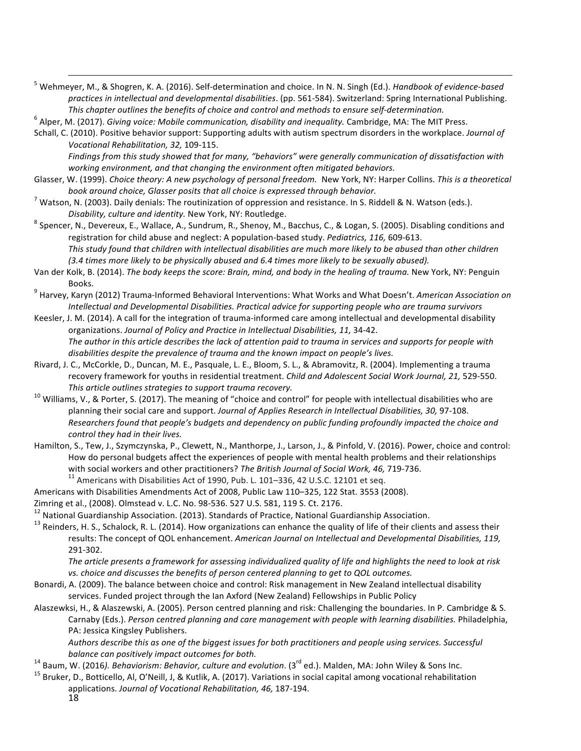- <sup>5</sup> Wehmeyer, M., & Shogren, K. A. (2016). Self-determination and choice. In N. N. Singh (Ed.). *Handbook of evidence-based* practices in intellectual and developmental disabilities. (pp. 561-584). Switzerland: Spring International Publishing. This chapter outlines the benefits of choice and control and methods to ensure self-determination.<br><sup>6</sup> Alper, M. (2017). Giving voice: Mobile communication, disability and inequality. Cambridge, MA: The MIT Press.
- 
- Schall, C. (2010). Positive behavior support: Supporting adults with autism spectrum disorders in the workplace. *Journal of Vocational Rehabilitation, 32,* 109-115.

Findings from this study showed that for many, "behaviors" were generally communication of dissatisfaction with working environment, and that changing the environment often mitigated behaviors.

<u> 1989 - Johann Stoff, fransk politik (f. 1989)</u>

- Glasser, W. (1999). *Choice theory: A new psychology of personal freedom.* New York, NY: Harper Collins. This is a theoretical *book around choice, Glasser posits that all choice is expressed through behavior.*<br><sup>7</sup> Watson, N. (2003). Daily denials: The routinization of oppression and resistance. In S. Riddell & N. Watson (eds.).
- 
- *Disability, culture and identity.* New York, NY: Routledge.<br>
<sup>8</sup> Spencer, N., Devereux, E., Wallace, A., Sundrum, R., Shenoy, M., Bacchus, C., & Logan, S. (2005). Disabling conditions and registration for child abuse and neglect: A population-based study. *Pediatrics*, 116, 609-613. This study found that children with intellectual disabilities are much more likely to be abused than other children (3.4 times more likely to be physically abused and 6.4 times more likely to be sexually abused).
- Van der Kolk, B. (2014). *The body keeps the score: Brain, mind, and body in the healing of trauma.* New York, NY: Penguin Books.<br><sup>9</sup> Harvey, Karyn (2012) Trauma-Informed Behavioral Interventions: What Works and What Doesn't. *American Association on*
- *Intellectual and Developmental Disabilities. Practical advice for supporting people who are trauma survivors*
- Keesler, J. M. (2014). A call for the integration of trauma-informed care among intellectual and developmental disability organizations. *Journal of Policy and Practice in Intellectual Disabilities, 11,* 34-42. The author in this article describes the lack of attention paid to trauma in services and supports for people with *disabilities despite the prevalence of trauma and the known impact on people's lives.*
- Rivard, J. C., McCorkle, D., Duncan, M. E., Pasquale, L. E., Bloom, S. L., & Abramovitz, R. (2004). Implementing a trauma recovery framework for youths in residential treatment. *Child and Adolescent Social Work Journal, 21,* 529-550.
- *This article outlines strategies to support trauma recovery.*<br><sup>10</sup> Williams, V., & Porter, S. (2017). The meaning of "choice and control" for people with intellectual disabilities who are planning their social care and support. Journal of Applies Research in Intellectual Disabilities, 30, 97-108. *Researchers found that people's budgets and dependency on public funding profoundly impacted the choice and control they had in their lives.*
- Hamilton, S., Tew, J., Szymczynska, P., Clewett, N., Manthorpe, J., Larson, J., & Pinfold, V. (2016). Power, choice and control: How do personal budgets affect the experiences of people with mental health problems and their relationships with social workers and other practitioners? *The British Journal of Social Work, 46, 7*19-736.<br><sup>11</sup> Americans with Disabilities Act of 1990, Pub. L. 101–336, 42 U.S.C. 12101 et seq.

- Americans with Disabilities Amendments Act of 2008, Public Law 110-325, 122 Stat. 3553 (2008).
- 
- 

Zimring et al., (2008). Olmstead v. L.C. No. 98-536. 527 U.S. 581, 119 S. Ct. 2176.<br><sup>12</sup> National Guardianship Association. (2013). Standards of Practice, National Guardianship Association.<br><sup>13</sup> Reinders, H. S., Schalock, results: The concept of QOL enhancement. American Journal on Intellectual and Developmental Disabilities, 119, 291-302. 

The article presents a framework for assessing individualized quality of life and highlights the need to look at risk vs. choice and discusses the benefits of person centered planning to get to QOL outcomes.

- Bonardi, A. (2009). The balance between choice and control: Risk management in New Zealand intellectual disability services. Funded project through the lan Axford (New Zealand) Fellowships in Public Policy
- Alaszewksi, H., & Alaszewski, A. (2005). Person centred planning and risk: Challenging the boundaries. In P. Cambridge & S. Carnaby (Eds.). Person centred planning and care management with people with learning disabilities. Philadelphia, PA: Jessica Kingsley Publishers.

Authors describe this as one of the biggest issues for both practitioners and people using services. Successful

- 
- balance can positively impact outcomes for both.<br><sup>14</sup> Baum, W. (2016). *Behaviorism: Behavior, culture and evolution*. (3<sup>rd</sup> ed.). Malden, MA: John Wiley & Sons Inc.<br><sup>15</sup> Bruker, D., Botticello, Al, O'Neill, J, & Kutlik, applications. Journal of Vocational Rehabilitation, 46, 187-194.
	- 18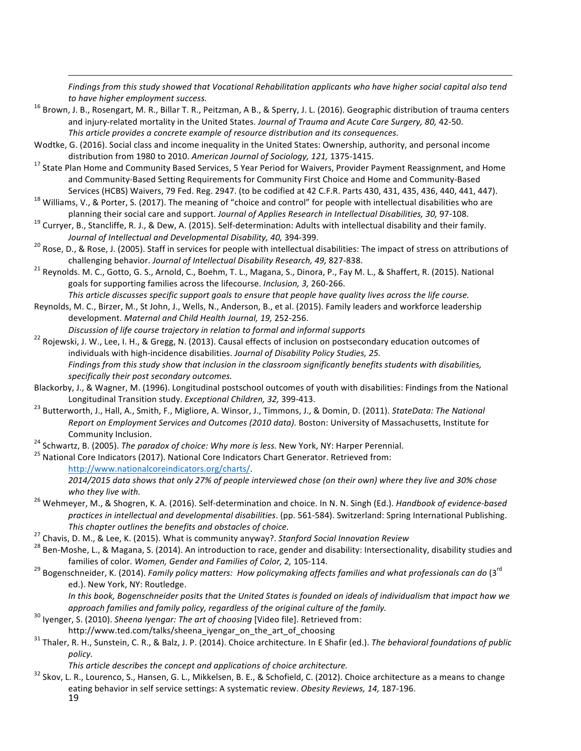<u> 1989 - Johann Stoff, fransk politik (f. 1989)</u> Findings from this study showed that Vocational Rehabilitation applicants who have higher social capital also tend

- *to have higher employment success.* 16 and B., & Sperry, J. L. (2016). Geographic distribution of trauma centers and injury-related mortality in the United States. *Journal of Trauma and Acute Care Surgery, 80, 42-50.* This article provides a concrete example of resource distribution and its consequences.
- Wodtke, G. (2016). Social class and income inequality in the United States: Ownership, authority, and personal income
- distribution from 1980 to 2010. *American Journal of Sociology, 121,* 1375-1415.<br><sup>17</sup> State Plan Home and Community Based Services, 5 Year Period for Waivers, Provider Payment Reassignment, and Home and Community-Based Setting Requirements for Community First Choice and Home and Community-Based
- Services (HCBS) Waivers, 79 Fed. Reg. 2947. (to be codified at 42 C.F.R. Parts 430, 431, 435, 436, 440, 441, 447).<br><sup>18</sup> Williams, V., & Porter, S. (2017). The meaning of "choice and control" for people with intellectual di
- planning their social care and support. Journal of Applies Research in Intellectual Disabilities, 30, 97-108.<br><sup>19</sup> Curryer, B., Stancliffe, R. J., & Dew, A. (2015). Self-determination: Adults with intellectual disability a
- *Journal of Intellectual and Developmental Disability, 40,* 394-399.<br><sup>20</sup> Rose, D., & Rose, J. (2005). Staff in services for people with intellectual disabilities: The impact of stress on attributions of
- challenging behavior. *Journal of Intellectual Disability Research, 49,* 827-838.<br><sup>21</sup> Reynolds. M. C., Gotto, G. S., Arnold, C., Boehm, T. L., Magana, S., Dinora, P., Fay M. L., & Shaffert, R. (2015). National goals for supporting families across the lifecourse. *Inclusion*, 3, 260-266.

This article discusses specific support goals to ensure that people have quality lives across the life course.

Reynolds, M. C., Birzer, M., St John, J., Wells, N., Anderson, B., et al. (2015). Family leaders and workforce leadership development. Maternal and Child Health Journal, 19, 252-256.

- *Discussion of life course trajectory in relation to formal and informal supports*<br><sup>22</sup> Rojewski, J. W., Lee, I. H., & Gregg, N. (2013). Causal effects of inclusion on postsecondary education outcomes of individuals with high-incidence disabilities. *Journal of Disability Policy Studies, 25.* Findings from this study show that inclusion in the classroom significantly benefits students with disabilities, specifically their post secondary outcomes.
- Blackorby, J., & Wagner, M. (1996). Longitudinal postschool outcomes of youth with disabilities: Findings from the National
- Longitudinal Transition study. *Exceptional Children, 32, 3*99-413.<br><sup>23</sup> Butterworth, J., Hall, A., Smith, F., Migliore, A. Winsor, J., Timmons, J., & Domin, D. (2011). *StateData: The National Report on Employment Services and Outcomes (2010 data).* Boston: University of Massachusetts, Institute for
- <sup>24</sup> Schwartz, B. (2005). *The paradox of choice: Why more is less*. New York, NY: Harper Perennial.<br><sup>25</sup> National Core Indicators (2017). National Core Indicators Chart Generator. Retrieved from:
- http://www.nationalcoreindicators.org/charts/.

2014/2015 data shows that only 27% of people interviewed chose (on their own) where they live and 30% chose

- *who they live with.*<br><sup>26</sup> Wehmeyer, M., & Shogren, K. A. (2016). Self-determination and choice. In N. N. Singh (Ed.). *Handbook of evidence-based* practices in intellectual and developmental disabilities. (pp. 561-584). Switzerland: Spring International Publishing. This chapter outlines the benefits and obstacles of choice.<br><sup>27</sup> Chavis, D. M., & Lee, K. (2015). What is community anyway?. Stanford Social Innovation Review<br><sup>28</sup> Ben-Moshe, L., & Magana, S. (2014). An introduction to rac
- 
- 
- families of color. *Women, Gender and Families of Color, 2,* 105-114. *<sup>29</sup> Bogenschneider, K. (2014). Family policy matters: How policymaking affects families and what professionals can do* (3<sup>rd</sup>) ed.). New York, NY: Routledge.

In this book, Bogenschneider posits that the United States is founded on ideals of individualism that impact how we

- *approach families and family policy, regardless of the original culture of the family.* <sup>30</sup> Iyenger, S. (2010). *Sheena Iyengar: The art of choosing* [Video file]. Retrieved from:
- http://www.ted.com/talks/sheena\_iyengar\_on\_the\_art\_of\_choosing<br><sup>31</sup> Thaler, R. H., Sunstein, C. R., & Balz, J. P. (2014). Choice architecture. In E Shafir (ed.). *The behavioral foundations of public policy.*

19 *This article describes the concept and applications of choice architecture.* 32 Skov, L. R., Lourenco, S., Hansen, G. L., Mikkelsen, B. E., & Schofield, C. (2012). Choice architecture as a means to change eating behavior in self service settings: A systematic review. Obesity Reviews, 14, 187-196.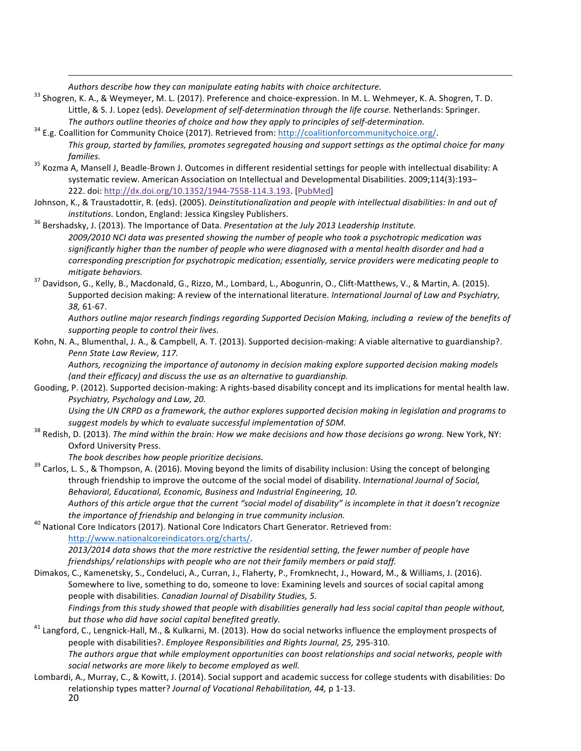*Authors describe how they can manipulate eating habits with choice architecture. Authors describe how they can manipulate eating habits with choice architecture.* 33 Shogren, K. A., Shogren, T. D. 33 Shogren, K. A. Shog Little, & S. J. Lopez (eds). *Development of self-determination through the life course*. Netherlands: Springer. *The authors outline theories of choice and how they apply to principles of self-determination.* <sup>34</sup> E.g. Coallition for Community Choice (2017). Retrieved from: http://coalitionforcommunitychoice.org/.

<u> 1989 - Johann Stoff, fransk politik (f. 1989)</u>

- This group, started by families, promotes segregated housing and support settings as the optimal choice for many *families.*<br><sup>35</sup> Kozma A, Mansell J, Beadle-Brown J. Outcomes in different residential settings for people with intellectual disability: A
- systematic review. American Association on Intellectual and Developmental Disabilities. 2009;114(3):193-222. doi: http://dx.doi.org/10.1352/1944-7558-114.3.193. [PubMed]
- Johnson, K., & Traustadottir, R. (eds). (2005). *Deinstitutionalization and people with intellectual disabilities: In and out of*
- *institutions.* London, England: Jessica Kingsley Publishers.<br><sup>36</sup> Bershadsky, J. (2013). The Importance of Data. *Presentation at the July 2013 Leadership Institute. 2009/2010 NCI data was presented showing the number of people who took a psychotropic medication was*  significantly higher than the number of people who were diagnosed with a mental health disorder and had a *corresponding prescription for psychotropic medication; essentially, service providers were medicating people to*
- *mitigate behaviors.*<br><sup>37</sup> Davidson, G., Kelly, B., Macdonald, G., Rizzo, M., Lombard, L., Abogunrin, O., Clift-Matthews, V., & Martin, A. (2015). Supported decision making: A review of the international literature. *International Journal of Law and Psychiatry*, *38,* 61-67.

Authors outline major research findings regarding Supported Decision Making, including a review of the benefits of supporting people to control their lives.

Kohn, N. A., Blumenthal, J. A., & Campbell, A. T. (2013). Supported decision-making: A viable alternative to guardianship?. Penn State Law Review, 117.

Authors, recognizing the importance of autonomy in decision making explore supported decision making models (and their efficacy) and discuss the use as an alternative to guardianship.

Gooding, P. (2012). Supported decision-making: A rights-based disability concept and its implications for mental health law. *Psychiatry, Psychology and Law, 20.* 

Using the UN CRPD as a framework, the author explores supported decision making in legislation and programs to

*suggest models by which to evaluate successful implementation of SDM.*<br><sup>38</sup> Redish, D. (2013). *The mind within the brain: How we make decisions and how those decisions go wrong.* New York, NY: Oxford University Press.

*The book describes how people prioritize decisions.*<br><sup>39</sup> Carlos, L. S., & Thompson, A. (2016). Moving beyond the limits of disability inclusion: Using the concept of belonging through friendship to improve the outcome of the social model of disability. *International Journal of Social*, Behavioral, Educational, Economic, Business and Industrial Engineering, 10. Authors of this article argue that the current "social model of disability" is incomplete in that it doesn't recognize

*the importance of friendship and belonging in true community inclusion.*<br><sup>40</sup> National Core Indicators (2017). National Core Indicators Chart Generator. Retrieved from: http://www.nationalcoreindicators.org/charts/. 2013/2014 data shows that the more restrictive the residential setting, the fewer number of people have friendships/ relationships with people who are not their family members or paid staff.

- Dimakos, C., Kamenetsky, S., Condeluci, A., Curran, J., Flaherty, P., Fromknecht, J., Howard, M., & Williams, J. (2016). Somewhere to live, something to do, someone to love: Examining levels and sources of social capital among people with disabilities. *Canadian Journal of Disability Studies*, 5. *Findings* from this study showed that people with disabilities generally had less social capital than people without,
- *but those who did have social capital benefited greatly.*<br><sup>41</sup> Langford, C., Lengnick-Hall, M., & Kulkarni, M. (2013). How do social networks influence the employment prospects of people with disabilities?. *Employee Responsibilities and Rights Journal, 25, 295-310.* The authors argue that while employment opportunities can boost relationships and social networks, people with social networks are more likely to become employed as well.
- 20 Lombardi, A., Murray, C., & Kowitt, J. (2014). Social support and academic success for college students with disabilities: Do relationship types matter? Journal of Vocational Rehabilitation, 44, p 1-13.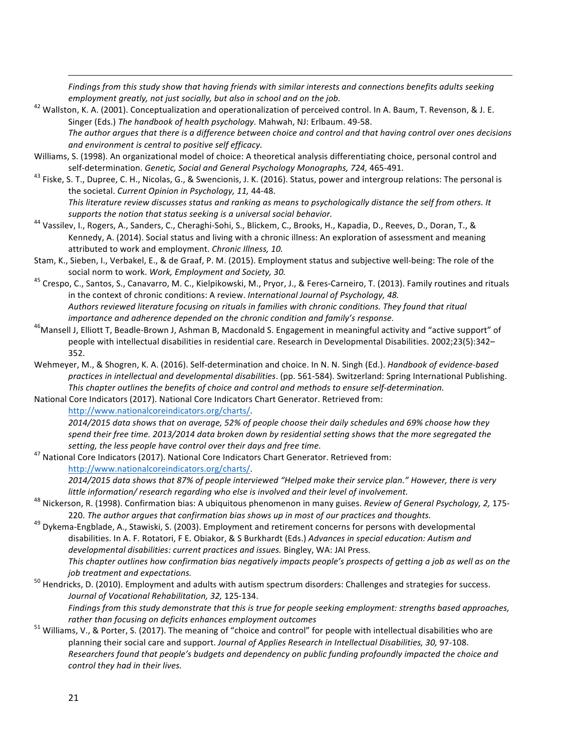*Findings from this study show that having friends with similar interests and connections benefits adults seeking* 

<u> 1989 - Johann Stoff, fransk politik (f. 1989)</u>

- *employment greatly, not just socially, but also in school and on the job.*<br><sup>42</sup> Wallston, K. A. (2001). Conceptualization and operationalization of perceived control. In A. Baum, T. Revenson, & J. E. Singer (Eds.) The handbook of health psychology. Mahwah, NJ: Erlbaum. 49-58. The author argues that there is a difference between choice and control and that having control over ones decisions and environment is central to positive self efficacy.
- Williams, S. (1998). An organizational model of choice: A theoretical analysis differentiating choice, personal control and
- self-determination. *Genetic, Social and General Psychology Monographs, 724,* 465-491.<br><sup>43</sup> Fiske, S. T., Dupree, C. H., Nicolas, G., & Swencionis, J. K. (2016). Status, power and intergroup relations: The personal is the societal. *Current Opinion in Psychology, 11, 44-48*. This literature review discusses status and ranking as means to psychologically distance the self from others. It
- *supports the notion that status seeking is a universal social behavior.* 544 Vassilev, I., Rogers, A., Sanders, C., Cheraghi-Sohi, S., Blickem, C., Brooks, H., Kapadia, D., Reeves, D., Doran, T., & Kennedy, A. (2014). Social status and living with a chronic illness: An exploration of assessment and meaning attributed to work and employment. *Chronic Illness, 10.*
- Stam, K., Sieben, I., Verbakel, E., & de Graaf, P. M. (2015). Employment status and subjective well-being: The role of the
- social norm to work. *Work, Employment and Society, 30.* 45 Crespo, C., Santos, S., Canavarro, M. C., Kielpikowski, M., Pryor, J., & Feres-Carneiro, T. (2013). Family routines and rituals in the context of chronic conditions: A review. *International Journal of Psychology, 48.* Authors reviewed literature focusing on rituals in families with chronic conditions. They found that ritual
- *importance and adherence depended on the chronic condition and family's response. importance and adherence depended on the chronic condition and family's response.* 46Mansell J, Elliott T, Beadle-Brown J, Ashman B, Macd people with intellectual disabilities in residential care. Research in Developmental Disabilities. 2002;23(5):342-352.
- Wehmeyer, M., & Shogren, K. A. (2016). Self-determination and choice. In N. N. Singh (Ed.). *Handbook of evidence-based* practices in intellectual and developmental disabilities. (pp. 561-584). Switzerland: Spring International Publishing. This chapter outlines the benefits of choice and control and methods to ensure self-determination.
- National Core Indicators (2017). National Core Indicators Chart Generator. Retrieved from: http://www.nationalcoreindicators.org/charts/.
- 2014/2015 data shows *that on average,* 52% of people choose their daily schedules and 69% choose how they spend their free time. 2013/2014 data broken down by residential setting shows that the more segregated the *setting, the less people have control over their days and free time.* <br><sup>47</sup> National Core Indicators (2017). National Core Indicators Chart Generator. Retrieved from:
- http://www.nationalcoreindicators.org/charts/. 2014/2015 data shows that 87% of people interviewed "Helped make their service plan." However, there is very
- little information/ research regarding who else is involved and their level of involvement.<br><sup>48</sup> Nickerson, R. (1998). Confirmation bias: A ubiquitous phenomenon in many guises. Review of General Psychology, 2, 175-
- 220. *The author argues that confirmation bias shows up in most of our practices and thoughts.* 49 Dykema-Engblade, A., Stawiski, S. (2003). Employment and retirement concerns for persons with developmental disabilities. In A. F. Rotatori, F E. Obiakor, & S Burkhardt (Eds.) *Advances in special education: Autism and* developmental disabilities: current practices and issues. Bingley, WA: JAI Press. This chapter outlines how confirmation bias negatively impacts people's prospects of getting a job as well as on the
- *job treatment and expectations. job treatment and expectations.* 50 Hendricks, D. (2010). Employment and adults with autism spectrum disorders: Challenges and strategies for success. *Journal of Vocational Rehabilitation, 32,* 125-134. *Findings from this study demonstrate that this is true for people seeking employment: strengths based approaches,*
- *rather than focusing on deficits enhances employment outcomes*  $\frac{51}{100}$  Williams, V., & Porter, S. (2017). The meaning of "choice and control" for people with intellectual disabilities who are planning their social care and support. *Journal of Applies Research in Intellectual Disabilities, 30,* 97-108. *Researchers found that people's budgets and dependency on public funding profoundly impacted the choice and control they had in their lives.*